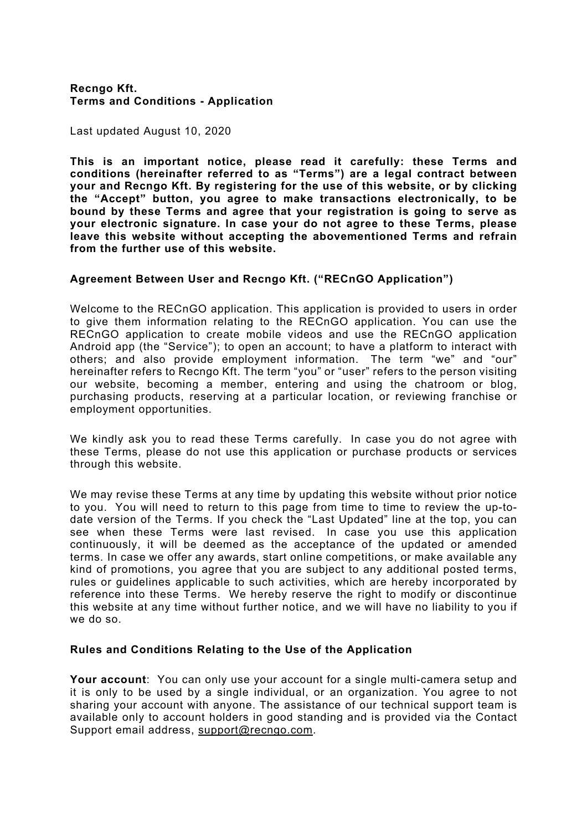## **Recngo Kft. Terms and Conditions - Application**

Last updated August 10, 2020

**This is an important notice, please read it carefully: these Terms and conditions (hereinafter referred to as "Terms") are a legal contract between your and Recngo Kft. By registering for the use of this website, or by clicking the "Accept" button, you agree to make transactions electronically, to be bound by these Terms and agree that your registration is going to serve as your electronic signature. In case your do not agree to these Terms, please leave this website without accepting the abovementioned Terms and refrain from the further use of this website.**

## **Agreement Between User and Recngo Kft. ("RECnGO Application")**

Welcome to the RECnGO application. This application is provided to users in order to give them information relating to the RECnGO application. You can use the RECnGO application to create mobile videos and use the RECnGO application Android app (the "Service"); to open an account; to have a platform to interact with others; and also provide employment information. The term "we" and "our" hereinafter refers to Recngo Kft. The term "you" or "user" refers to the person visiting our website, becoming a member, entering and using the chatroom or blog, purchasing products, reserving at a particular location, or reviewing franchise or employment opportunities.

We kindly ask you to read these Terms carefully. In case you do not agree with these Terms, please do not use this application or purchase products or services through this website.

We may revise these Terms at any time by updating this website without prior notice to you. You will need to return to this page from time to time to review the up-todate version of the Terms. If you check the "Last Updated" line at the top, you can see when these Terms were last revised. In case you use this application continuously, it will be deemed as the acceptance of the updated or amended terms. In case we offer any awards, start online competitions, or make available any kind of promotions, you agree that you are subject to any additional posted terms, rules or guidelines applicable to such activities, which are hereby incorporated by reference into these Terms. We hereby reserve the right to modify or discontinue this website at any time without further notice, and we will have no liability to you if we do so.

## **Rules and Conditions Relating to the Use of the Application**

**Your account**: You can only use your account for a single multi-camera setup and it is only to be used by a single individual, or an organization. You agree to not sharing your account with anyone. The assistance of our technical support team is available only to account holders in good standing and is provided via the Contact Support email address, support@recngo.com.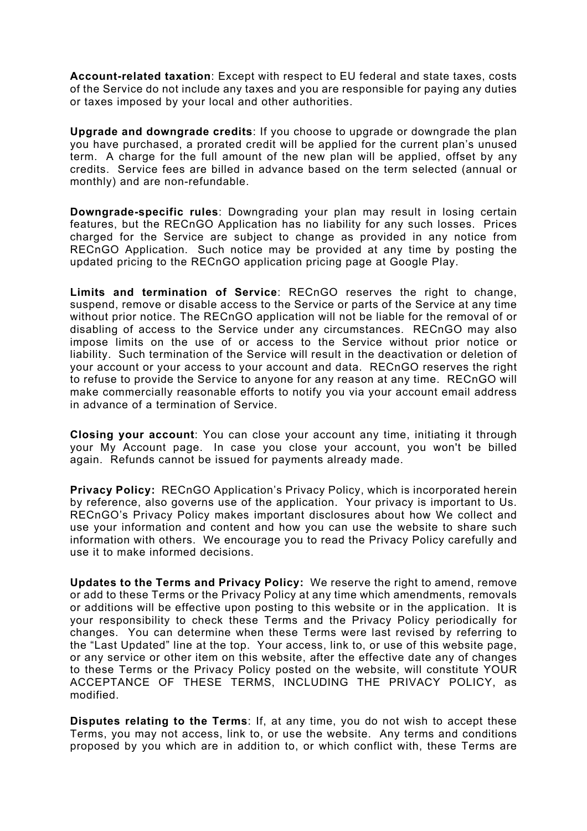**Account-related taxation**: Except with respect to EU federal and state taxes, costs of the Service do not include any taxes and you are responsible for paying any duties or taxes imposed by your local and other authorities.

**Upgrade and downgrade credits**: If you choose to upgrade or downgrade the plan you have purchased, a prorated credit will be applied for the current plan's unused term. A charge for the full amount of the new plan will be applied, offset by any credits. Service fees are billed in advance based on the term selected (annual or monthly) and are non-refundable.

**Downgrade-specific rules**: Downgrading your plan may result in losing certain features, but the RECnGO Application has no liability for any such losses. Prices charged for the Service are subject to change as provided in any notice from RECnGO Application. Such notice may be provided at any time by posting the updated pricing to the RECnGO application pricing page at Google Play.

**Limits and termination of Service**: RECnGO reserves the right to change, suspend, remove or disable access to the Service or parts of the Service at any time without prior notice. The RECnGO application will not be liable for the removal of or disabling of access to the Service under any circumstances. RECnGO may also impose limits on the use of or access to the Service without prior notice or liability. Such termination of the Service will result in the deactivation or deletion of your account or your access to your account and data. RECnGO reserves the right to refuse to provide the Service to anyone for any reason at any time. RECnGO will make commercially reasonable efforts to notify you via your account email address in advance of a termination of Service.

**Closing your account**: You can close your account any time, initiating it through your My Account page. In case you close your account, you won't be billed again. Refunds cannot be issued for payments already made.

**Privacy Policy:** RECnGO Application's Privacy Policy, which is incorporated herein by reference, also governs use of the application. Your privacy is important to Us. RECnGO's Privacy Policy makes important disclosures about how We collect and use your information and content and how you can use the website to share such information with others. We encourage you to read the Privacy Policy carefully and use it to make informed decisions.

**Updates to the Terms and Privacy Policy:** We reserve the right to amend, remove or add to these Terms or the Privacy Policy at any time which amendments, removals or additions will be effective upon posting to this website or in the application. It is your responsibility to check these Terms and the Privacy Policy periodically for changes. You can determine when these Terms were last revised by referring to the "Last Updated" line at the top. Your access, link to, or use of this website page, or any service or other item on this website, after the effective date any of changes to these Terms or the Privacy Policy posted on the website, will constitute YOUR ACCEPTANCE OF THESE TERMS, INCLUDING THE PRIVACY POLICY, as modified.

**Disputes relating to the Terms**: If, at any time, you do not wish to accept these Terms, you may not access, link to, or use the website. Any terms and conditions proposed by you which are in addition to, or which conflict with, these Terms are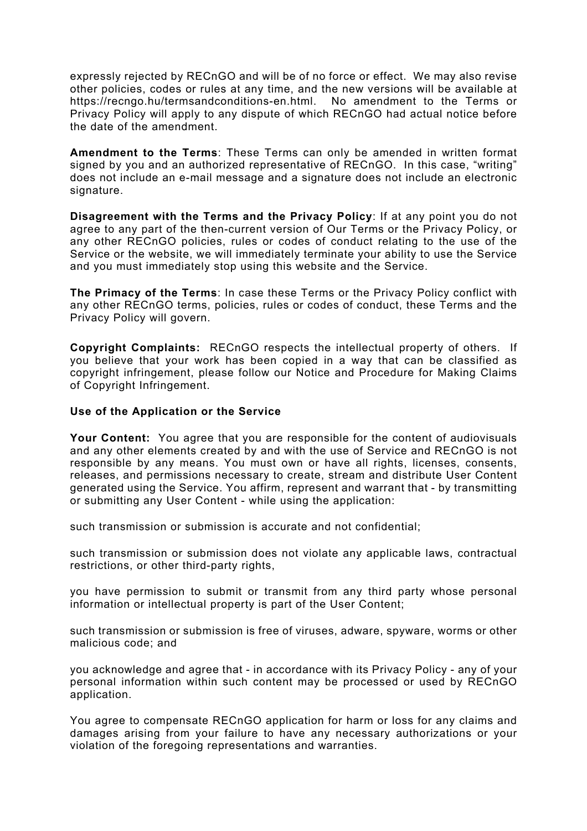expressly rejected by RECnGO and will be of no force or effect. We may also revise other policies, codes or rules at any time, and the new versions will be available at https://recngo.hu/termsandconditions-en.html. No amendment to the Terms or Privacy Policy will apply to any dispute of which RECnGO had actual notice before the date of the amendment.

**Amendment to the Terms**: These Terms can only be amended in written format signed by you and an authorized representative of RECnGO. In this case, "writing" does not include an e-mail message and a signature does not include an electronic signature.

**Disagreement with the Terms and the Privacy Policy**: If at any point you do not agree to any part of the then-current version of Our Terms or the Privacy Policy, or any other RECnGO policies, rules or codes of conduct relating to the use of the Service or the website, we will immediately terminate your ability to use the Service and you must immediately stop using this website and the Service.

**The Primacy of the Terms**: In case these Terms or the Privacy Policy conflict with any other RECnGO terms, policies, rules or codes of conduct, these Terms and the Privacy Policy will govern.

**Copyright Complaints:** RECnGO respects the intellectual property of others. If you believe that your work has been copied in a way that can be classified as copyright infringement, please follow our Notice and Procedure for Making Claims of Copyright Infringement.

## **Use of the Application or the Service**

**Your Content:** You agree that you are responsible for the content of audiovisuals and any other elements created by and with the use of Service and RECnGO is not responsible by any means. You must own or have all rights, licenses, consents, releases, and permissions necessary to create, stream and distribute User Content generated using the Service. You affirm, represent and warrant that - by transmitting or submitting any User Content - while using the application:

such transmission or submission is accurate and not confidential;

such transmission or submission does not violate any applicable laws, contractual restrictions, or other third-party rights,

you have permission to submit or transmit from any third party whose personal information or intellectual property is part of the User Content;

such transmission or submission is free of viruses, adware, spyware, worms or other malicious code; and

you acknowledge and agree that - in accordance with its Privacy Policy - any of your personal information within such content may be processed or used by RECnGO application.

You agree to compensate RECnGO application for harm or loss for any claims and damages arising from your failure to have any necessary authorizations or your violation of the foregoing representations and warranties.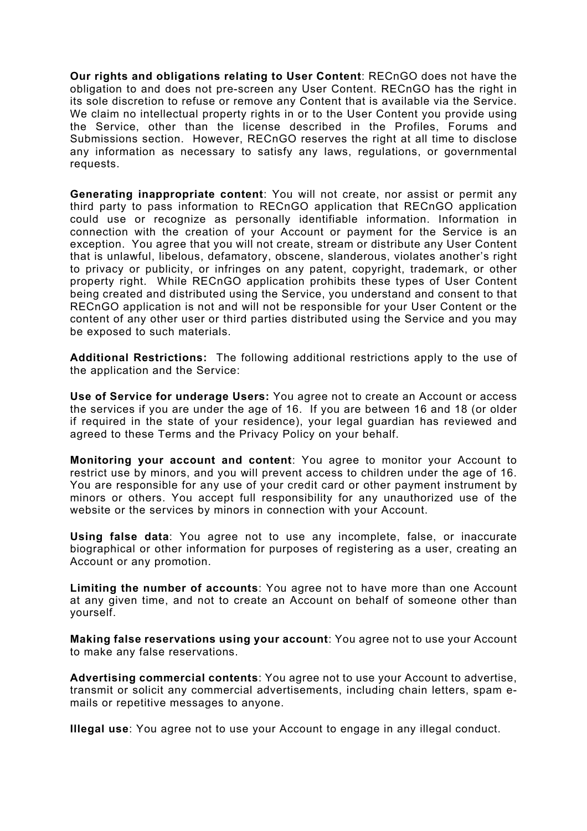**Our rights and obligations relating to User Content**: RECnGO does not have the obligation to and does not pre-screen any User Content. RECnGO has the right in its sole discretion to refuse or remove any Content that is available via the Service. We claim no intellectual property rights in or to the User Content you provide using the Service, other than the license described in the Profiles, Forums and Submissions section. However, RECnGO reserves the right at all time to disclose any information as necessary to satisfy any laws, regulations, or governmental requests.

**Generating inappropriate content**: You will not create, nor assist or permit any third party to pass information to RECnGO application that RECnGO application could use or recognize as personally identifiable information. Information in connection with the creation of your Account or payment for the Service is an exception. You agree that you will not create, stream or distribute any User Content that is unlawful, libelous, defamatory, obscene, slanderous, violates another's right to privacy or publicity, or infringes on any patent, copyright, trademark, or other property right. While RECnGO application prohibits these types of User Content being created and distributed using the Service, you understand and consent to that RECnGO application is not and will not be responsible for your User Content or the content of any other user or third parties distributed using the Service and you may be exposed to such materials.

**Additional Restrictions:** The following additional restrictions apply to the use of the application and the Service:

**Use of Service for underage Users:** You agree not to create an Account or access the services if you are under the age of 16. If you are between 16 and 18 (or older if required in the state of your residence), your legal guardian has reviewed and agreed to these Terms and the Privacy Policy on your behalf.

**Monitoring your account and content**: You agree to monitor your Account to restrict use by minors, and you will prevent access to children under the age of 16. You are responsible for any use of your credit card or other payment instrument by minors or others. You accept full responsibility for any unauthorized use of the website or the services by minors in connection with your Account.

**Using false data**: You agree not to use any incomplete, false, or inaccurate biographical or other information for purposes of registering as a user, creating an Account or any promotion.

**Limiting the number of accounts**: You agree not to have more than one Account at any given time, and not to create an Account on behalf of someone other than yourself.

**Making false reservations using your account**: You agree not to use your Account to make any false reservations.

**Advertising commercial contents**: You agree not to use your Account to advertise, transmit or solicit any commercial advertisements, including chain letters, spam emails or repetitive messages to anyone.

**Illegal use**: You agree not to use your Account to engage in any illegal conduct.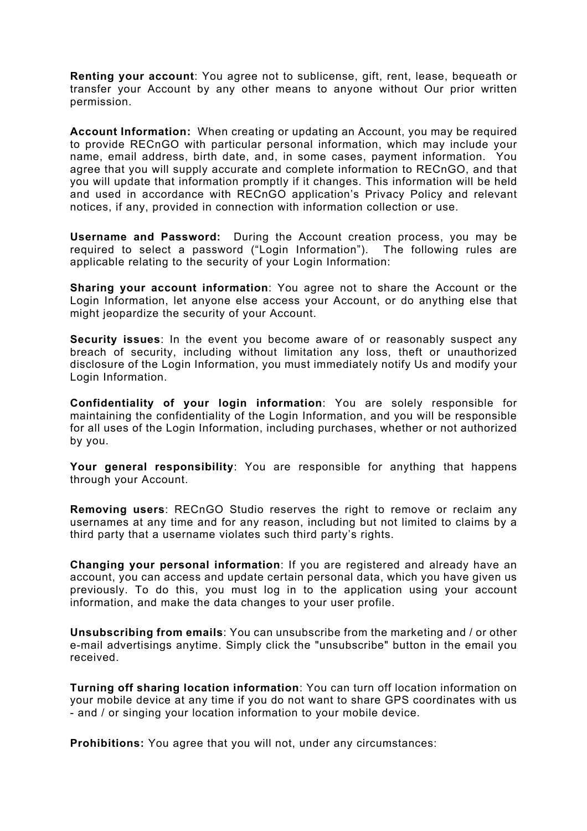**Renting your account**: You agree not to sublicense, gift, rent, lease, bequeath or transfer your Account by any other means to anyone without Our prior written permission.

**Account Information:** When creating or updating an Account, you may be required to provide RECnGO with particular personal information, which may include your name, email address, birth date, and, in some cases, payment information. You agree that you will supply accurate and complete information to RECnGO, and that you will update that information promptly if it changes. This information will be held and used in accordance with RECnGO application's Privacy Policy and relevant notices, if any, provided in connection with information collection or use.

**Username and Password:** During the Account creation process, you may be required to select a password ("Login Information"). The following rules are applicable relating to the security of your Login Information:

**Sharing your account information**: You agree not to share the Account or the Login Information, let anyone else access your Account, or do anything else that might jeopardize the security of your Account.

**Security issues**: In the event you become aware of or reasonably suspect any breach of security, including without limitation any loss, theft or unauthorized disclosure of the Login Information, you must immediately notify Us and modify your Login Information.

**Confidentiality of your login information**: You are solely responsible for maintaining the confidentiality of the Login Information, and you will be responsible for all uses of the Login Information, including purchases, whether or not authorized by you.

**Your general responsibility**: You are responsible for anything that happens through your Account.

**Removing users**: RECnGO Studio reserves the right to remove or reclaim any usernames at any time and for any reason, including but not limited to claims by a third party that a username violates such third party's rights.

**Changing your personal information**: If you are registered and already have an account, you can access and update certain personal data, which you have given us previously. To do this, you must log in to the application using your account information, and make the data changes to your user profile.

**Unsubscribing from emails**: You can unsubscribe from the marketing and / or other e-mail advertisings anytime. Simply click the "unsubscribe" button in the email you received.

**Turning off sharing location information**: You can turn off location information on your mobile device at any time if you do not want to share GPS coordinates with us - and / or singing your location information to your mobile device.

**Prohibitions:** You agree that you will not, under any circumstances: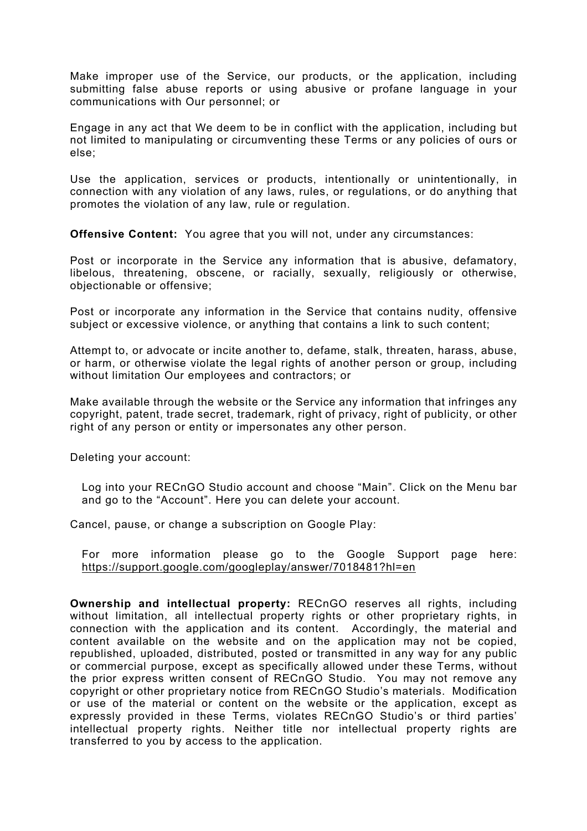Make improper use of the Service, our products, or the application, including submitting false abuse reports or using abusive or profane language in your communications with Our personnel; or

Engage in any act that We deem to be in conflict with the application, including but not limited to manipulating or circumventing these Terms or any policies of ours or else;

Use the application, services or products, intentionally or unintentionally, in connection with any violation of any laws, rules, or regulations, or do anything that promotes the violation of any law, rule or regulation.

**Offensive Content:** You agree that you will not, under any circumstances:

Post or incorporate in the Service any information that is abusive, defamatory, libelous, threatening, obscene, or racially, sexually, religiously or otherwise, objectionable or offensive;

Post or incorporate any information in the Service that contains nudity, offensive subject or excessive violence, or anything that contains a link to such content;

Attempt to, or advocate or incite another to, defame, stalk, threaten, harass, abuse, or harm, or otherwise violate the legal rights of another person or group, including without limitation Our employees and contractors; or

Make available through the website or the Service any information that infringes any copyright, patent, trade secret, trademark, right of privacy, right of publicity, or other right of any person or entity or impersonates any other person.

Deleting your account:

Log into your RECnGO Studio account and choose "Main". Click on the Menu bar and go to the "Account". Here you can delete your account.

Cancel, pause, or change a subscription on Google Play:

For more information please go to the Google Support page here: https://support.google.com/googleplay/answer/7018481?hl=en

**Ownership and intellectual property:** RECnGO reserves all rights, including without limitation, all intellectual property rights or other proprietary rights, in connection with the application and its content. Accordingly, the material and content available on the website and on the application may not be copied, republished, uploaded, distributed, posted or transmitted in any way for any public or commercial purpose, except as specifically allowed under these Terms, without the prior express written consent of RECnGO Studio. You may not remove any copyright or other proprietary notice from RECnGO Studio's materials. Modification or use of the material or content on the website or the application, except as expressly provided in these Terms, violates RECnGO Studio's or third parties' intellectual property rights. Neither title nor intellectual property rights are transferred to you by access to the application.